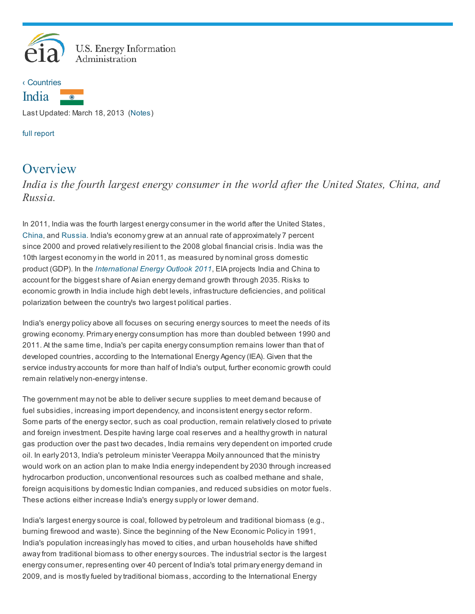



Last Updated: March 18, 2013 [\(Notes\)](http://www.eia.gov/countries/cab.cfm?fips=IN#note)

full [report](http://www.eia.gov/countries/analysisbriefs/India/india.pdf)

## **Overview**

*India is the fourth largest energy consumer in the world after the United States, China, and Russia.*

In 2011, India was the fourth largest energy consumer in the world after the United States, [China](http://www.eia.gov/countries/cab.cfm?fips=CH), and [Russia](http://www.eia.gov/countries/country-data.cfm?fips=RS). India's economy grew at an annual rate of approximately 7 percent since 2000 and proved relatively resilient to the 2008 global financial crisis. India was the 10th largest economy in the world in 2011, as measured by nominal gross domestic product (GDP). In the [International](http://www.eia.gov/forecasts/ieo/) Energy Outlook 2011, EIA projects India and China to account for the biggest share of Asian energy demand growth through 2035. Risks to economic growth in India include high debt levels, infrastructure deficiencies, and political polarization between the country's two largest political parties.

India's energy policy above all focuses on securing energy sources to meet the needs of its growing economy. Primary energy consumption has more than doubled between 1990 and 2011. At the same time, India's per capita energy consumption remains lower than that of developed countries, according to the International Energy Agency (IEA). Given that the service industry accounts for more than half of India's output, further economic growth could remain relatively non-energy intense.

The government may not be able to deliver secure supplies to meet demand because of fuel subsidies, increasing import dependency, and inconsistent energy sector reform. Some parts of the energy sector, such as coal production, remain relatively closed to private and foreign investment. Despite having large coal reserves and a healthy growth in natural gas production over the past two decades, India remains very dependent on imported crude oil. In early 2013, India's petroleum minister Veerappa Moily announced that the ministry would work on an action plan to make India energy independent by 2030 through increased hydrocarbon production, unconventional resources such as coalbed methane and shale, foreign acquisitions by domestic Indian companies, and reduced subsidies on motor fuels. These actions either increase India's energy supply or lower demand.

India's largest energy source is coal, followed by petroleum and traditional biomass (e.g., burning firewood and waste). Since the beginning of the New Economic Policy in 1991, India's population increasingly has moved to cities, and urban households have shifted away from traditional biomass to other energy sources. The industrial sector is the largest energy consumer, representing over 40 percent of India's total primary energy demand in 2009, and is mostly fueled by traditional biomass, according to the International Energy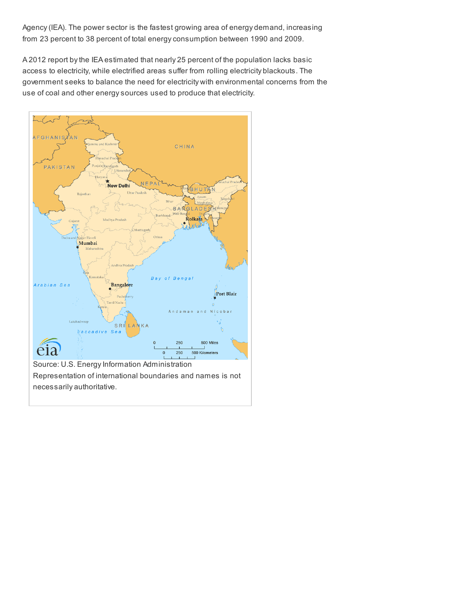Agency (IEA). The power sector is the fastest growing area of energy demand, increasing from 23 percent to 38 percent of total energy consumption between 1990 and 2009.

A 2012 report by the IEA estimated that nearly 25 percent of the population lacks basic access to electricity, while electrified areas suffer from rolling electricity blackouts. The government seeks to balance the need for electricity with environmental concerns from the use of coal and other energy sources used to produce that electricity.

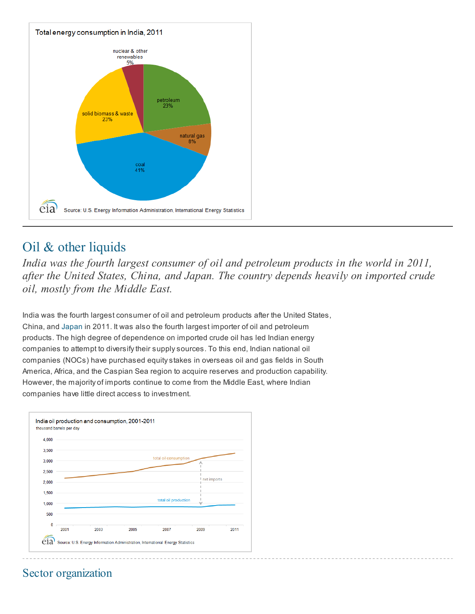

## Oil & other liquids

*India was the fourth largest consumer of oil and petroleum products in the world in 2011, after the United States, China, and Japan. The country depends heavily on imported crude oil, mostly from the Middle East.*

India was the fourth largest consumer of oil and petroleum products after the United States, China, and [Japan](http://www.eia.gov/countries/cab.cfm?fips=JA) in 2011. It was also the fourth largest importer of oil and petroleum products. The high degree of dependence on imported crude oil has led Indian energy companies to attempt to diversify their supply sources. To this end, Indian national oil companies (NOCs) have purchased equity stakes in overseas oil and gas fields in South America, Africa, and the Caspian Sea region to acquire reserves and production capability. However, the majority of imports continue to come from the Middle East, where Indian companies have little direct access to investment.



## Sector organization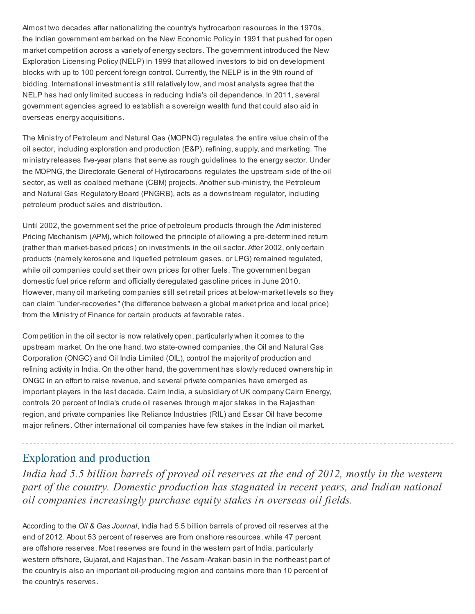Almost two decades after nationalizing the country's hydrocarbon resources in the 1970s, the Indian government embarked on the New Economic Policy in 1991 that pushed for open market competition across a variety of energy sectors. The government introduced the New Exploration Licensing Policy (NELP) in 1999 that allowed investors to bid on development blocks with up to 100 percent foreign control. Currently, the NELP is in the 9th round of bidding. International investment is still relatively low, and most analysts agree that the NELP has had only limited success in reducing India's oil dependence. In 2011, several government agencies agreed to establish a sovereign wealth fund that could also aid in overseas energy acquisitions.

The Ministry of Petroleum and Natural Gas (MOPNG) regulates the entire value chain of the oil sector, including exploration and production (E&P), refining, supply, and marketing. The ministry releases five-year plans that serve as rough guidelines to the energy sector. Under the MOPNG, the Directorate General of Hydrocarbons regulates the upstream side of the oil sector, as well as coalbed methane (CBM) projects. Another sub-ministry, the Petroleum and Natural Gas Regulatory Board (PNGRB), acts as a downstream regulator, including petroleum product sales and distribution.

Until 2002, the government set the price of petroleum products through the Administered Pricing Mechanism (APM), which followed the principle of allowing a pre-determined return (rather than market-based prices) on investments in the oil sector. After 2002, only certain products (namely kerosene and liquefied petroleum gases, or LPG) remained regulated, while oil companies could set their own prices for other fuels. The government began domestic fuel price reform and officially deregulated gasoline prices in June 2010. However, many oil marketing companies still set retail prices at below-market levels so they can claim "under-recoveries" (the difference between a global market price and local price) from the Ministry of Finance for certain products at favorable rates.

Competition in the oil sector is now relatively open, particularly when it comes to the upstream market. On the one hand, two state-owned companies, the Oil and Natural Gas Corporation (ONGC) and Oil India Limited (OIL), control the majority of production and refining activity in India. On the other hand, the government has slowly reduced ownership in ONGC in an effort to raise revenue, and several private companies have emerged as important players in the last decade. Cairn India, a subsidiary of UK company Cairn Energy, controls 20 percent of India's crude oil reserves through major stakes in the Rajasthan region, and private companies like Reliance Industries (RIL) and Essar Oil have become major refiners. Other international oil companies have few stakes in the Indian oil market.

### Exploration and production

*India had 5.5 billion barrels of proved oil reserves at the end of 2012, mostly in the western part of the country. Domestic production has stagnated in recent years, and Indian national oil companies increasingly purchase equity stakes in overseas oil fields.*

According to the Oil & Gas Journal, India had 5.5 billion barrels of proved oil reserves at the end of 2012. About 53 percent of reserves are from onshore resources, while 47 percent are offshore reserves. Most reserves are found in the western part of India, particularly western offshore, Gujarat, and Rajasthan. The Assam-Arakan basin in the northeast part of the country is also an important oil-producing region and contains more than 10 percent of the country's reserves.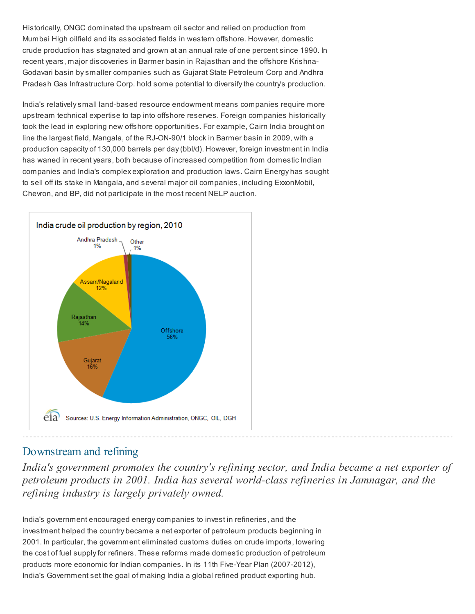Historically, ONGC dominated the upstream oil sector and relied on production from Mumbai High oilfield and its associated fields in western offshore. However, domestic crude production has stagnated and grown at an annual rate of one percent since 1990. In recent years, major discoveries in Barmer basin in Rajasthan and the offshore Krishna-Godavari basin by smaller companies such as Gujarat State Petroleum Corp and Andhra Pradesh Gas Infrastructure Corp. hold some potential to diversify the country's production.

India's relatively small land-based resource endowment means companies require more upstream technical expertise to tap into offshore reserves. Foreign companies historically took the lead in exploring new offshore opportunities. For example, Cairn India brought on line the largest field, Mangala, of the RJ-ON-90/1 block in Barmer basin in 2009, with a production capacity of 130,000 barrels per day (bbl/d). However, foreign investment in India has waned in recent years, both because of increased competition from domestic Indian companies and India's complex exploration and production laws. Cairn Energy has sought to sell off its stake in Mangala, and several major oil companies, including ExxonMobil, Chevron, and BP, did not participate in the most recent NELP auction.



### Downstream and refining

*India's government promotes the country's refining sector, and India became a net exporter of petroleum products in 2001. India has several world-class refineries in Jamnagar, and the refining industry is largely privately owned.*

India's government encouraged energy companies to invest in refineries, and the investment helped the country became a net exporter of petroleum products beginning in 2001. In particular, the government eliminated customs duties on crude imports, lowering the cost of fuel supply for refiners. These reforms made domestic production of petroleum products more economic for Indian companies. In its 11th Five-Year Plan (2007-2012), India's Government set the goal of making India a global refined product exporting hub.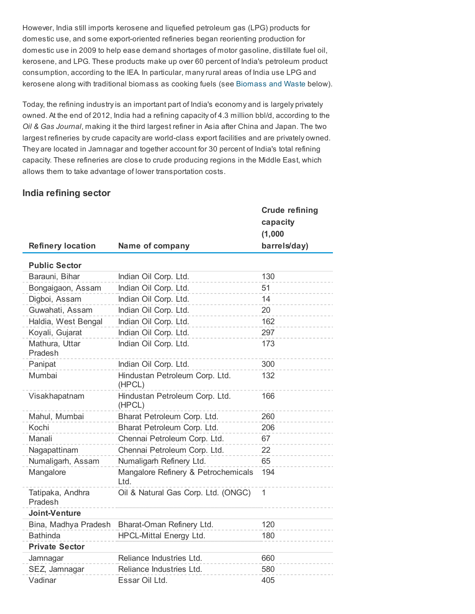However, India still imports kerosene and liquefied petroleum gas (LPG) products for domestic use, and some export-oriented refineries began reorienting production for domestic use in 2009 to help ease demand shortages of motor gasoline, distillate fuel oil, kerosene, and LPG. These products make up over 60 percent of India's petroleum product consumption, according to the IEA. In particular, many rural areas of India use LPG and kerosene along with traditional biomass as cooking fuels (see [Biomass](http://www.eia.gov/countries/cab.cfm?fips=IN#biomass) and Waste below).

Today, the refining industry is an important part of India's economy and is largely privately owned. At the end of 2012, India had a refining capacity of 4.3 million bbl/d, according to the Oil & Gas Journal, making it the third largest refiner in Asia after China and Japan. The two largest refineries by crude capacity are world-class export facilities and are privately owned. They are located in Jamnagar and together account for 30 percent of India's total refining capacity. These refineries are close to crude producing regions in the Middle East, which allows them to take advantage of lower transportation costs.

#### India refining sector

|                             |                                             | <b>Crude refining</b> |
|-----------------------------|---------------------------------------------|-----------------------|
|                             |                                             | capacity<br>(1,000)   |
| <b>Refinery location</b>    | Name of company                             | barrels/day)          |
| <b>Public Sector</b>        |                                             |                       |
| Barauni, Bihar              | Indian Oil Corp. Ltd.                       | 130                   |
| Bongaigaon, Assam           | Indian Oil Corp. Ltd.                       | 51                    |
| Digboi, Assam               | Indian Oil Corp. Ltd.                       | 14                    |
| Guwahati, Assam             | Indian Oil Corp. Ltd.                       | 20                    |
| Haldia, West Bengal         | Indian Oil Corp. Ltd.                       | 162                   |
| Koyali, Gujarat             | Indian Oil Corp. Ltd.                       | 297                   |
| Mathura, Uttar<br>Pradesh   | Indian Oil Corp. Ltd.                       | 173                   |
| Panipat                     | Indian Oil Corp. Ltd.                       | 300                   |
| Mumbai                      | Hindustan Petroleum Corp. Ltd.<br>(HPCL)    | 132                   |
| Visakhapatnam               | Hindustan Petroleum Corp. Ltd.<br>(HPCL)    | 166                   |
| Mahul, Mumbai               | Bharat Petroleum Corp. Ltd.                 | 260                   |
| Kochi                       | Bharat Petroleum Corp. Ltd.                 | 206                   |
| Manali                      | Chennai Petroleum Corp. Ltd.                | 67                    |
| Nagapattinam                | Chennai Petroleum Corp. Ltd.                | 22                    |
| Numaligarh, Assam           | Numaligarh Refinery Ltd.                    | 65                    |
| Mangalore                   | Mangalore Refinery & Petrochemicals<br>Ltd. | 194                   |
| Tatipaka, Andhra<br>Pradesh | Oil & Natural Gas Corp. Ltd. (ONGC)         | $\mathbf{1}$          |
| Joint-Venture               |                                             |                       |
| Bina, Madhya Pradesh        | Bharat-Oman Refinery Ltd.                   | 120                   |
| <b>Bathinda</b>             | <b>HPCL-Mittal Energy Ltd.</b>              | 180                   |
| <b>Private Sector</b>       |                                             |                       |
| Jamnagar                    | Reliance Industries Ltd.                    | 660                   |
| SEZ, Jamnagar               | Reliance Industries Ltd.                    | 580                   |
| Vadinar                     | Essar Oil Ltd.                              | 405                   |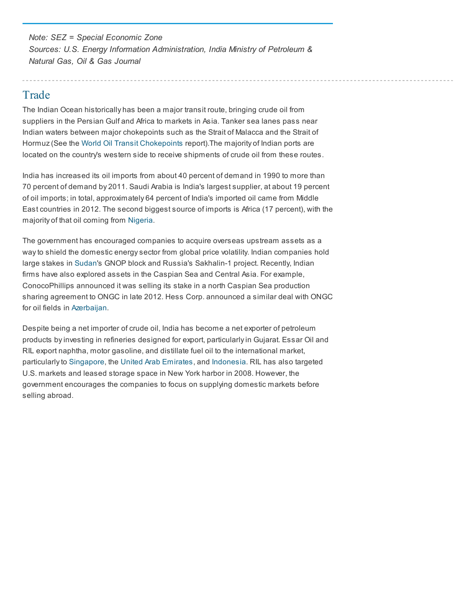Note: SEZ = Special Economic Zone Sources: U.S. Energy Information Administration, India Ministry of Petroleum & Natural Gas, Oil & Gas Journal

### Trade

The Indian Ocean historically has been a major transit route, bringing crude oil from suppliers in the Persian Gulf and Africa to markets in Asia. Tanker sea lanes pass near Indian waters between major chokepoints such as the Strait of Malacca and the Strait of Hormuz (See the World Oil Transit [Chokepoints](http://www.eia.gov/countries/regions-topics.cfm?fips=WOTC) report).The majority of Indian ports are located on the country's western side to receive shipments of crude oil from these routes.

India has increased its oil imports from about 40 percent of demand in 1990 to more than 70 percent of demand by 2011. Saudi Arabia is India's largest supplier, at about 19 percent of oil imports; in total, approximately 64 percent of India's imported oil came from Middle East countries in 2012. The second biggest source of imports is Africa (17 percent), with the majority of that oil coming from [Nigeria](http://www.eia.gov/countries/cab.cfm?fips=NI).

The government has encouraged companies to acquire overseas upstream assets as a way to shield the domestic energy sector from global price volatility. Indian companies hold large stakes in [Sudan](http://www.eia.gov/countries/cab.cfm?fips=SU)'s GNOP block and Russia's Sakhalin-1 project. Recently, Indian firms have also explored assets in the Caspian Sea and Central Asia. For example, ConocoPhillips announced it was selling its stake in a north Caspian Sea production sharing agreement to ONGC in late 2012. Hess Corp. announced a similar deal with ONGC for oil fields in [Azerbaijan.](http://www.eia.gov/countries/cab.cfm?fips=AJ)

Despite being a net importer of crude oil, India has become a net exporter of petroleum products by investing in refineries designed for export, particularly in Gujarat. Essar Oil and RIL export naphtha, motor gasoline, and distillate fuel oil to the international market, particularly to [Singapore,](http://www.eia.gov/countries/cab.cfm?fips=SN) the United Arab [Emirates](http://www.eia.gov/countries/cab.cfm?fips=TC), and [Indonesia](http://www.eia.gov/countries/cab.cfm?fips=ID). RIL has also targeted U.S. markets and leased storage space in New York harbor in 2008. However, the government encourages the companies to focus on supplying domestic markets before selling abroad.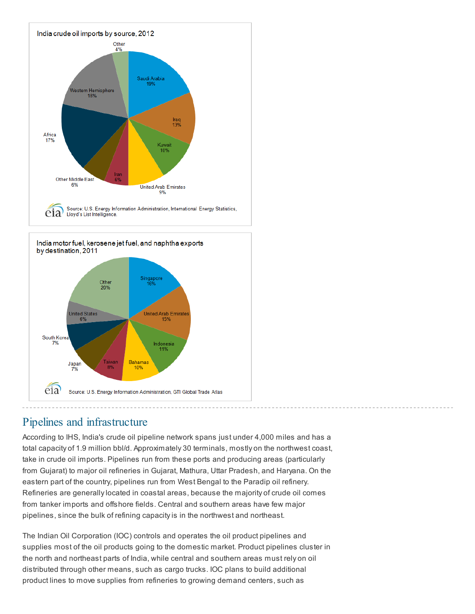

Source: U.S. Energy Information Administration, GTI Global Trade Atlas

# Pipelines and infrastructure

eia

According to IHS, India's crude oil pipeline network spans just under 4,000 miles and has a total capacity of 1.9 million bbl/d. Approximately 30 terminals, mostly on the northwest coast, take in crude oil imports. Pipelines run from these ports and producing areas (particularly from Gujarat) to major oil refineries in Gujarat, Mathura, Uttar Pradesh, and Haryana. On the eastern part of the country, pipelines run from West Bengal to the Paradip oil refinery. Refineries are generally located in coastal areas, because the majority of crude oil comes from tanker imports and offshore fields. Central and southern areas have few major pipelines, since the bulk of refining capacity is in the northwest and northeast.

The Indian Oil Corporation (IOC) controls and operates the oil product pipelines and supplies most of the oil products going to the domestic market. Product pipelines cluster in the north and northeast parts of India, while central and southern areas must rely on oil distributed through other means, such as cargo trucks. IOC plans to build additional product lines to move supplies from refineries to growing demand centers, such as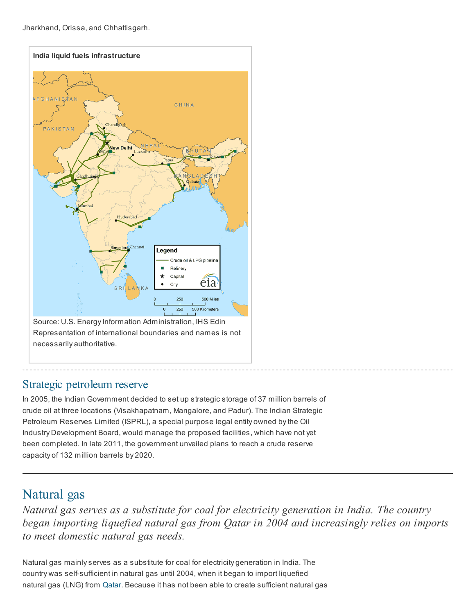Jharkhand, Orissa, and Chhattisgarh.



### Strategic petroleum reserve

In 2005, the Indian Government decided to set up strategic storage of 37 million barrels of crude oil at three locations (Visakhapatnam, Mangalore, and Padur). The Indian Strategic Petroleum Reserves Limited (ISPRL), a special purpose legal entity owned by the Oil Industry Development Board, would manage the proposed facilities, which have not yet been completed. In late 2011, the government unveiled plans to reach a crude reserve capacity of 132 million barrels by 2020.

## Natural gas

*Natural gas serves as a substitute for coal for electricity generation in India. The country began importing liquefied natural gas from Qatar in 2004 and increasingly relies on imports to meet domestic natural gas needs.*

Natural gas mainly serves as a substitute for coal for electricity generation in India. The country was self-sufficient in natural gas until 2004, when it began to import liquefied natural gas (LNG) from [Qatar](http://www.eia.gov/countries/cab.cfm?fips=QA). Because it has not been able to create sufficient natural gas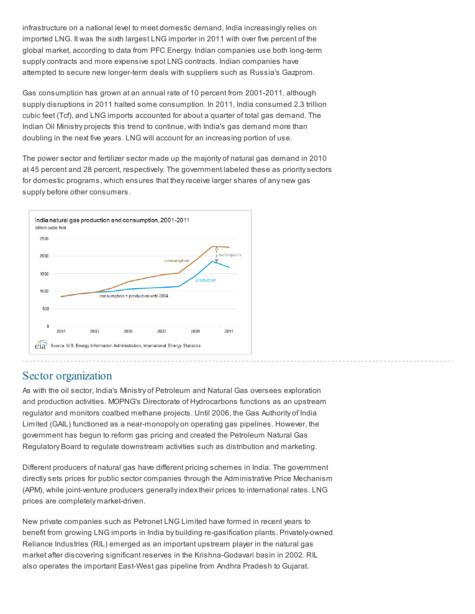infrastructure on a national level to meet domestic demand, India increasingly relies on imported LNG. It was the sixth largest LNG importer in 2011 with over five percent of the global market, according to data from PFC Energy. Indian companies use both long-term supply contracts and more expensive spot LNG contracts. Indian companies have attempted to secure new longer-term deals with suppliers such as Russia's Gazprom.

Gas consumption has grown at an annual rate of 10 percent from 2001-2011, although supply disruptions in 2011 halted some consumption. In 2011, India consumed 2.3 trillion cubic feet (Tcf), and LNG imports accounted for about a quarter of total gas demand. The Indian Oil Ministry projects this trend to continue, with India's gas demand more than doubling in the next five years. LNG will account for an increasing portion of use.

The power sector and fertilizer sector made up the majority of natural gas demand in 2010 at 45 percent and 28 percent, respectively. The government labeled these as priority sectors for domestic programs, which ensures that they receive larger shares of any new gas supply before other consumers.



#### Sector organization

As with the oil sector, India's Ministry of Petroleum and Natural Gas oversees exploration and production activities. MOPNG's Directorate of Hydrocarbons functions as an upstream regulator and monitors coalbed methane projects. Until 2006, the Gas Authority of India Limited (GAIL) functioned as a near-monopoly on operating gas pipelines. However, the government has begun to reform gas pricing and created the Petroleum Natural Gas Regulatory Board to regulate downstream activities such as distribution and marketing.

Different producers of natural gas have different pricing schemes in India. The government directly sets prices for public sector companies through the Administrative Price Mechanism (APM), while joint-venture producers generally index their prices to international rates. LNG prices are completely market-driven.

New private companies such as Petronet LNG Limited have formed in recent years to benefit from growing LNG imports in India by building re-gasification plants. Privately-owned Reliance Industries (RIL) emerged as an important upstream player in the natural gas market after discovering significant reserves in the Krishna-Godavari basin in 2002. RIL also operates the important East-West gas pipeline from Andhra Pradesh to Gujarat.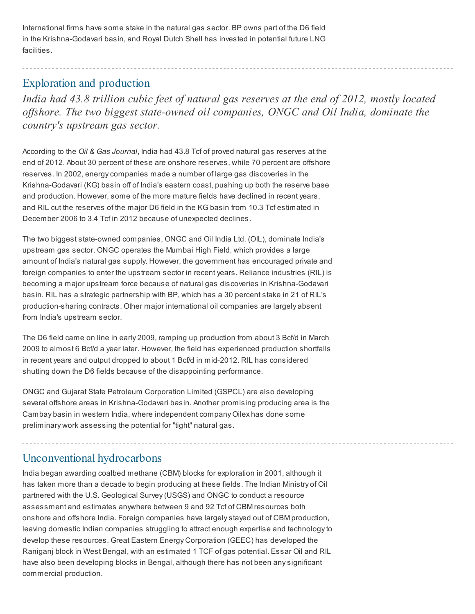International firms have some stake in the natural gas sector. BP owns part of the D6 field in the Krishna-Godavari basin, and Royal Dutch Shell has invested in potential future LNG facilities.

## Exploration and production

*India had 43.8 trillion cubic feet of natural gas reserves at the end of 2012, mostly located of shore. The two biggest state-owned oil companies, ONGC and Oil India, dominate the country's upstream gas sector.*

According to the Oil & Gas Journal, India had 43.8 Tcf of proved natural gas reserves at the end of 2012. About 30 percent of these are onshore reserves, while 70 percent are offshore reserves. In 2002, energy companies made a number of large gas discoveries in the Krishna-Godavari (KG) basin off of India's eastern coast, pushing up both the reserve base and production. However, some of the more mature fields have declined in recent years, and RIL cut the reserves of the major D6 field in the KG basin from 10.3 Tcf estimated in December 2006 to 3.4 Tcf in 2012 because of unexpected declines.

The two biggest state-owned companies, ONGC and Oil India Ltd. (OIL), dominate India's upstream gas sector. ONGC operates the Mumbai High Field, which provides a large amount of India's natural gas supply. However, the government has encouraged private and foreign companies to enter the upstream sector in recent years. Reliance industries (RIL) is becoming a major upstream force because of natural gas discoveries in Krishna-Godavari basin. RIL has a strategic partnership with BP, which has a 30 percent stake in 21 of RIL's production-sharing contracts. Other major international oil companies are largely absent from India's upstream sector.

The D6 field came on line in early 2009, ramping up production from about 3 Bcf/d in March 2009 to almost 6 Bcf/d a year later. However, the field has experienced production shortfalls in recent years and output dropped to about 1 Bcf/d in mid-2012. RIL has considered shutting down the D6 fields because of the disappointing performance.

ONGC and Gujarat State Petroleum Corporation Limited (GSPCL) are also developing several offshore areas in Krishna-Godavari basin. Another promising producing area is the Cambay basin in western India, where independent company Oilex has done some preliminary work assessing the potential for "tight" natural gas.

### Unconventional hydrocarbons

India began awarding coalbed methane (CBM) blocks for exploration in 2001, although it has taken more than a decade to begin producing at these fields. The Indian Ministry of Oil partnered with the U.S. Geological Survey (USGS) and ONGC to conduct a resource assessment and estimates anywhere between 9 and 92 Tcf of CBM resources both onshore and offshore India. Foreign companies have largely stayed out of CBM production, leaving domestic Indian companies struggling to attract enough expertise and technology to develop these resources. Great Eastern Energy Corporation (GEEC) has developed the Raniganj block in West Bengal, with an estimated 1 TCF of gas potential. Essar Oil and RIL have also been developing blocks in Bengal, although there has not been any significant commercial production.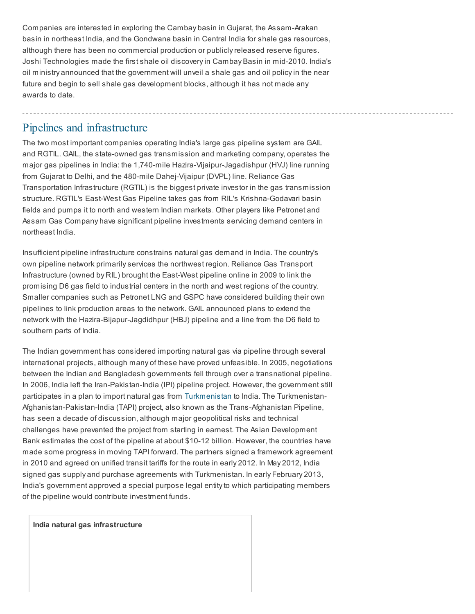Companies are interested in exploring the Cambay basin in Gujarat, the Assam-Arakan basin in northeast India, and the Gondwana basin in Central India for shale gas resources, although there has been no commercial production or publicly released reserve figures. Joshi Technologies made the first shale oil discovery in Cambay Basin in mid-2010. India's oil ministry announced that the government will unveil a shale gas and oil policy in the near future and begin to sell shale gas development blocks, although it has not made any awards to date.

#### Pipelines and infrastructure

The two most important companies operating India's large gas pipeline system are GAIL and RGTIL. GAIL, the state-owned gas transmission and marketing company, operates the major gas pipelines in India: the 1,740-mile Hazira-Vijaipur-Jagadishpur (HVJ) line running from Gujarat to Delhi, and the 480-mile Dahej-Vijaipur (DVPL) line. Reliance Gas Transportation Infrastructure (RGTIL) is the biggest private investor in the gas transmission structure. RGTIL's East-West Gas Pipeline takes gas from RIL's Krishna-Godavari basin fields and pumps it to north and western Indian markets. Other players like Petronet and Assam Gas Company have significant pipeline investments servicing demand centers in northeast India.

Insufficient pipeline infrastructure constrains natural gas demand in India. The country's own pipeline network primarily services the northwest region. Reliance Gas Transport Infrastructure (owned by RIL) brought the East-West pipeline online in 2009 to link the promising D6 gas field to industrial centers in the north and west regions of the country. Smaller companies such as Petronet LNG and GSPC have considered building their own pipelines to link production areas to the network. GAIL announced plans to extend the network with the Hazira-Bijapur-Jagdidhpur (HBJ) pipeline and a line from the D6 field to southern parts of India.

The Indian government has considered importing natural gas via pipeline through several international projects, although many of these have proved unfeasible. In 2005, negotiations between the Indian and Bangladesh governments fell through over a transnational pipeline. In 2006, India left the Iran-Pakistan-India (IPI) pipeline project. However, the government still participates in a plan to import natural gas from [Turkmenistan](http://www.eia.gov/countries/cab.cfm?fips=TX) to India. The Turkmenistan-Afghanistan-Pakistan-India (TAPI) project, also known as the Trans-Afghanistan Pipeline, has seen a decade of discussion, although major geopolitical risks and technical challenges have prevented the project from starting in earnest. The Asian Development Bank estimates the cost of the pipeline at about \$10-12 billion. However, the countries have made some progress in moving TAPI forward. The partners signed a framework agreement in 2010 and agreed on unified transit tariffs for the route in early 2012. In May 2012, India signed gas supply and purchase agreements with Turkmenistan. In early February 2013, India's government approved a special purpose legal entity to which participating members of the pipeline would contribute investment funds.

India natural gas infrastructure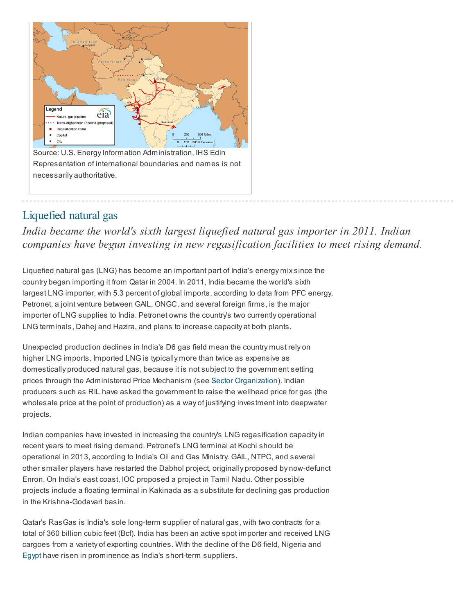

### Liquefied natural gas

*India became the world's sixth largest liquefied natural gas importer in 2011. Indian companies have begun investing in new regasification facilities to meet rising demand.*

Liquefied natural gas (LNG) has become an important part of India's energy mix since the country began importing it from Qatar in 2004. In 2011, India became the world's sixth largest LNG importer, with 5.3 percent of global imports, according to data from PFC energy. Petronet, a joint venture between GAIL, ONGC, and several foreign firms, is the major importer of LNG supplies to India. Petronet owns the country's two currently operational LNG terminals, Dahej and Hazira, and plans to increase capacity at both plants.

Unexpected production declines in India's D6 gas field mean the country must rely on higher LNG imports. Imported LNG is typically more than twice as expensive as domestically produced natural gas, because it is not subject to the government setting prices through the Administered Price Mechanism (see Sector [Organization](http://www.eia.gov/countries/cab.cfm?fips=IN#ng_sector_org)). Indian producers such as RIL have asked the government to raise the wellhead price for gas (the wholesale price at the point of production) as a way of justifying investment into deepwater projects.

Indian companies have invested in increasing the country's LNG regasification capacity in recent years to meet rising demand. Petronet's LNG terminal at Kochi should be operational in 2013, according to India's Oil and Gas Ministry. GAIL, NTPC, and several other smaller players have restarted the Dabhol project, originally proposed by now-defunct Enron. On India's east coast, IOC proposed a project in Tamil Nadu. Other possible projects include a floating terminal in Kakinada as a substitute for declining gas production in the Krishna-Godavari basin.

Qatar's RasGas is India's sole long-term supplier of natural gas, with two contracts for a total of 360 billion cubic feet (Bcf). India has been an active spot importer and received LNG cargoes from a variety of exporting countries. With the decline of the D6 field, Nigeria and [Egypt](http://www.eia.gov/countries/cab.cfm?fips=EG) have risen in prominence as India's short-term suppliers.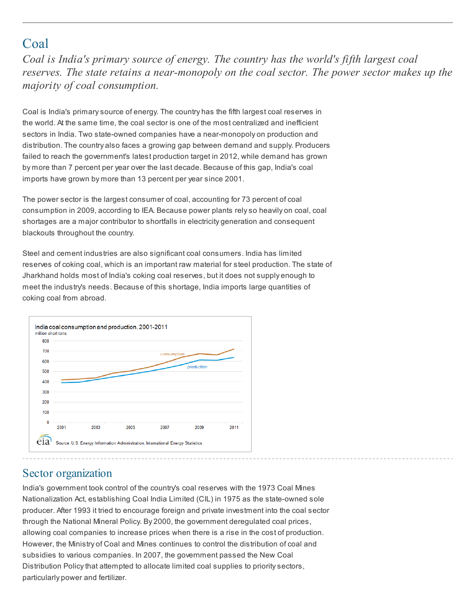## Coal

*Coal is India's primary source of energy. The country has the world's fifth largest coal reserves. The state retains a near-monopoly on the coal sector. The power sector makes up the majority of coal consumption.*

Coal is India's primary source of energy. The country has the fifth largest coal reserves in the world. At the same time, the coal sector is one of the most centralized and inefficient sectors in India. Two state-owned companies have a near-monopoly on production and distribution. The country also faces a growing gap between demand and supply. Producers failed to reach the government's latest production target in 2012, while demand has grown by more than 7 percent per year over the last decade. Because of this gap, India's coal imports have grown by more than 13 percent per year since 2001.

The power sector is the largest consumer of coal, accounting for 73 percent of coal consumption in 2009, according to IEA. Because power plants rely so heavily on coal, coal shortages are a major contributor to shortfalls in electricity generation and consequent blackouts throughout the country.

Steel and cement industries are also significant coal consumers. India has limited reserves of coking coal, which is an important raw material for steel production. The state of Jharkhand holds most of India's coking coal reserves, but it does not supply enough to meet the industry's needs. Because of this shortage, India imports large quantities of coking coal from abroad.



## Sector organization

India's government took control of the country's coal reserves with the 1973 Coal Mines Nationalization Act, establishing Coal India Limited (CIL) in 1975 as the state-owned sole producer. After 1993 it tried to encourage foreign and private investment into the coal sector through the National Mineral Policy. By 2000, the government deregulated coal prices, allowing coal companies to increase prices when there is a rise in the cost of production. However, the Ministry of Coal and Mines continues to control the distribution of coal and subsidies to various companies. In 2007, the government passed the New Coal Distribution Policy that attempted to allocate limited coal supplies to priority sectors, particularly power and fertilizer.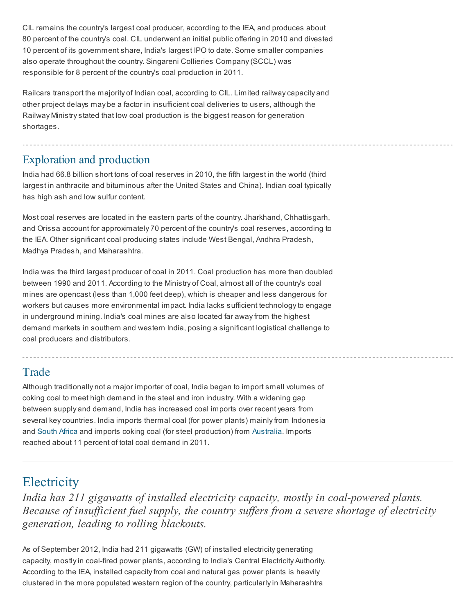CIL remains the country's largest coal producer, according to the IEA, and produces about 80 percent of the country's coal. CIL underwent an initial public offering in 2010 and divested 10 percent of its government share, India's largest IPO to date. Some smaller companies also operate throughout the country. Singareni Collieries Company (SCCL) was responsible for 8 percent of the country's coal production in 2011.

Railcars transport the majority of Indian coal, according to CIL. Limited railway capacity and other project delays may be a factor in insufficient coal deliveries to users, although the Railway Ministry stated that low coal production is the biggest reason for generation shortages.

## Exploration and production

India had 66.8 billion short tons of coal reserves in 2010, the fifth largest in the world (third largest in anthracite and bituminous after the United States and China). Indian coal typically has high ash and low sulfur content.

Most coal reserves are located in the eastern parts of the country. Jharkhand, Chhattisgarh, and Orissa account for approximately 70 percent of the country's coal reserves, according to the IEA. Other significant coal producing states include West Bengal, Andhra Pradesh, Madhya Pradesh, and Maharashtra.

India was the third largest producer of coal in 2011. Coal production has more than doubled between 1990 and 2011. According to the Ministry of Coal, almost all of the country's coal mines are opencast (less than 1,000 feet deep), which is cheaper and less dangerous for workers but causes more environmental impact. India lacks sufficient technology to engage in underground mining. India's coal mines are also located far away from the highest demand markets in southern and western India, posing a significant logistical challenge to coal producers and distributors.

### Trade

Although traditionally not a major importer of coal, India began to import small volumes of coking coal to meet high demand in the steel and iron industry. With a widening gap between supply and demand, India has increased coal imports over recent years from several key countries. India imports thermal coal (for power plants) mainly from Indonesia and [South](http://www.eia.gov/countries/cab.cfm?fips=SF) Africa and imports coking coal (for steel production) from [Australia.](http://www.eia.gov/countries/cab.cfm?fips=AS) Imports reached about 11 percent of total coal demand in 2011.

## **Electricity**

*India has 211 gigawatts of installed electricity capacity, mostly in coal-powered plants. Because of insuf icient fuel supply, the country suf ers from a severe shortage of electricity generation, leading to rolling blackouts.*

As of September 2012, India had 211 gigawatts (GW) of installed electricity generating capacity, mostly in coal-fired power plants, according to India's Central Electricity Authority. According to the IEA, installed capacity from coal and natural gas power plants is heavily clustered in the more populated western region of the country, particularly in Maharashtra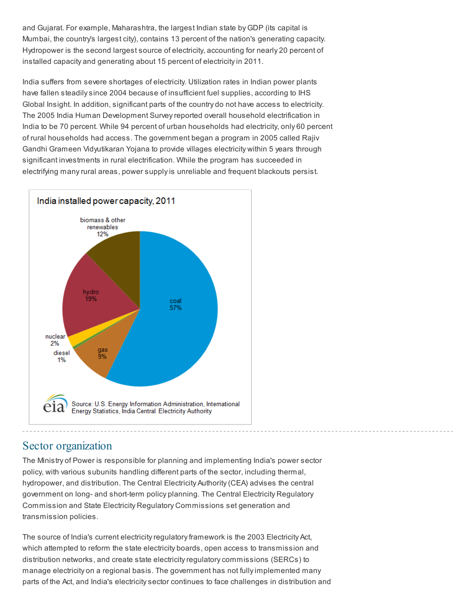and Gujarat. For example, Maharashtra, the largest Indian state by GDP (its capital is Mumbai, the country's largest city), contains 13 percent of the nation's generating capacity. Hydropower is the second largest source of electricity, accounting for nearly 20 percent of installed capacity and generating about 15 percent of electricity in 2011.

India suffers from severe shortages of electricity. Utilization rates in Indian power plants have fallen steadily since 2004 because of insufficient fuel supplies, according to IHS Global Insight. In addition, significant parts of the country do not have access to electricity. The 2005 India Human Development Survey reported overall household electrification in India to be 70 percent. While 94 percent of urban households had electricity, only 60 percent of rural households had access. The government began a program in 2005 called Rajiv Gandhi Grameen Vidyutikaran Yojana to provide villages electricity within 5 years through significant investments in rural electrification. While the program has succeeded in electrifying many rural areas, power supply is unreliable and frequent blackouts persist.



### Sector organization

The Ministry of Power is responsible for planning and implementing India's power sector policy, with various subunits handling different parts of the sector, including thermal, hydropower, and distribution. The Central Electricity Authority (CEA) advises the central government on long- and short-term policy planning. The Central Electricity Regulatory Commission and State Electricity Regulatory Commissions set generation and transmission policies.

The source of India's current electricity regulatory framework is the 2003 Electricity Act, which attempted to reform the state electricity boards, open access to transmission and distribution networks, and create state electricity regulatory commissions (SERCs) to manage electricity on a regional basis. The government has not fully implemented many parts of the Act, and India's electricity sector continues to face challenges in distribution and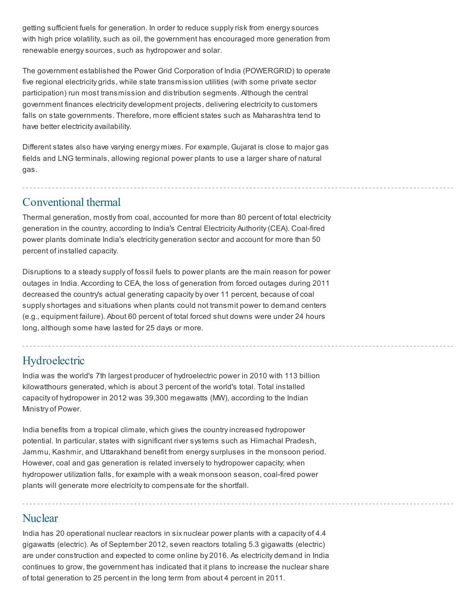getting sufficient fuels for generation. In order to reduce supply risk from energy sources with high price volatility, such as oil, the government has encouraged more generation from renewable energy sources, such as hydropower and solar.

The government established the Power Grid Corporation of India (POWERGRID) to operate five regional electricity grids, while state transmission utilities (with some private sector participation) run most transmission and distribution segments. Although the central government finances electricity development projects, delivering electricity to customers falls on state governments. Therefore, more efficient states such as Maharashtra tend to have better electricity availability.

Different states also have varying energy mixes. For example, Gujarat is close to major gas fields and LNG terminals, allowing regional power plants to use a larger share of natural gas.

### Conventional thermal

Thermal generation, mostly from coal, accounted for more than 80 percent of total electricity generation in the country, according to India's Central Electricity Authority (CEA). Coal-fired power plants dominate India's electricity generation sector and account for more than 50 percent of installed capacity.

Disruptions to a steady supply of fossil fuels to power plants are the main reason for power outages in India. According to CEA, the loss of generation from forced outages during 2011 decreased the country's actual generating capacity by over 11 percent, because of coal supply shortages and situations when plants could not transmit power to demand centers (e.g., equipment failure). About 60 percent of total forced shut downs were under 24 hours long, although some have lasted for 25 days or more.

## Hydroelectric

India was the world's 7th largest producer of hydroelectric power in 2010 with 113 billion kilowatthours generated, which is about 3 percent of the world's total. Total installed capacity of hydropower in 2012 was 39,300 megawatts (MW), according to the Indian Ministry of Power.

India benefits from a tropical climate, which gives the country increased hydropower potential. In particular, states with significant river systems such as Himachal Pradesh, Jammu, Kashmir, and Uttarakhand benefit from energy surpluses in the monsoon period. However, coal and gas generation is related inversely to hydropower capacity; when hydropower utilization falls, for example with a weak monsoon season, coal-fired power plants will generate more electricity to compensate for the shortfall.

### **Nuclear**

India has 20 operational nuclear reactors in six nuclear power plants with a capacity of 4.4 gigawatts (electric). As of September 2012, seven reactors totaling 5.3 gigawatts (electric) are under construction and expected to come online by 2016. As electricity demand in India continues to grow, the government has indicated that it plans to increase the nuclear share of total generation to 25 percent in the long term from about 4 percent in 2011.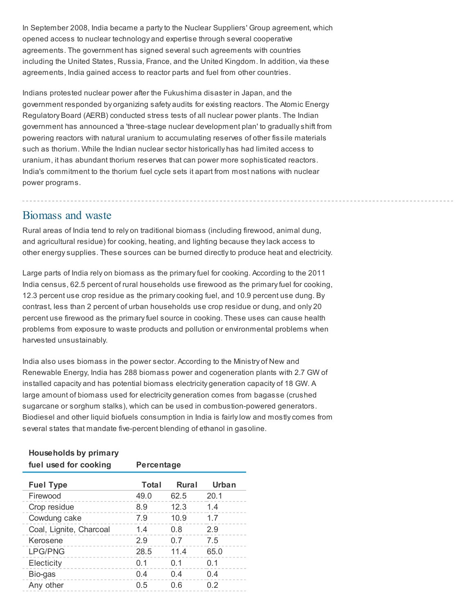In September 2008, India became a party to the Nuclear Suppliers' Group agreement, which opened access to nuclear technology and expertise through several cooperative agreements. The government has signed several such agreements with countries including the United States, Russia, France, and the United Kingdom. In addition, via these agreements, India gained access to reactor parts and fuel from other countries.

Indians protested nuclear power after the Fukushima disaster in Japan, and the government responded by organizing safety audits for existing reactors. The Atomic Energy Regulatory Board (AERB) conducted stress tests of all nuclear power plants. The Indian government has announced a 'three-stage nuclear development plan' to gradually shift from powering reactors with natural uranium to accumulating reserves of other fissile materials such as thorium. While the Indian nuclear sector historically has had limited access to uranium, it has abundant thorium reserves that can power more sophisticated reactors. India's commitment to the thorium fuel cycle sets it apart from most nations with nuclear power programs.

#### Biomass and waste

Rural areas of India tend to rely on traditional biomass (including firewood, animal dung, and agricultural residue) for cooking, heating, and lighting because they lack access to other energy supplies. These sources can be burned directly to produce heat and electricity.

Large parts of India rely on biomass as the primary fuel for cooking. According to the 2011 India census, 62.5 percent of rural households use firewood as the primary fuel for cooking, 12.3 percent use crop residue as the primary cooking fuel, and 10.9 percent use dung. By contrast, less than 2 percent of urban households use crop residue or dung, and only 20 percent use firewood as the primary fuel source in cooking. These uses can cause health problems from exposure to waste products and pollution or environmental problems when harvested unsustainably.

India also uses biomass in the power sector. According to the Ministry of New and Renewable Energy, India has 288 biomass power and cogeneration plants with 2.7 GW of installed capacity and has potential biomass electricity generation capacity of 18 GW. A large amount of biomass used for electricity generation comes from bagasse (crushed sugarcane or sorghum stalks), which can be used in combustion-powered generators. Biodiesel and other liquid biofuels consumption in India is fairly low and mostly comes from several states that mandate five-percent blending of ethanol in gasoline.

#### Households by primary

| fuel used for cooking   | Percentage   |              |       |
|-------------------------|--------------|--------------|-------|
| <b>Fuel Type</b>        | <b>Total</b> | <b>Rural</b> | Urban |
| Firewood                | 49.0         | 62.5         | 20.1  |
| Crop residue            | 89           | 12.3         | 14    |
| Cowdung cake            | 7.9          | 10.9         | 17    |
| Coal, Lignite, Charcoal | 1.4          | 0 8          | 29    |
| Kerosene                | 29           | 0 7          | 7.5   |
| <b>LPG/PNG</b>          | 28.5         | 11 4         | 65.0  |
| Electicity              | ი 1          | በ 1          | በ 1   |
| Bio-gas                 | 04           | 04           | 04    |
| Any other               | 0.5          |              | 0 2   |